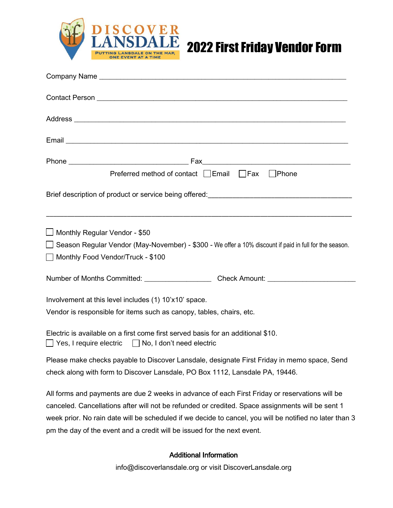



| Preferred method of contact □ Email □ Fax □ Phone                                                                                     |
|---------------------------------------------------------------------------------------------------------------------------------------|
|                                                                                                                                       |
| Monthly Regular Vendor - \$50                                                                                                         |
| □ Season Regular Vendor (May-November) - \$300 - We offer a 10% discount if paid in full for the season.                              |
| Monthly Food Vendor/Truck - \$100                                                                                                     |
|                                                                                                                                       |
| Involvement at this level includes (1) 10'x10' space.                                                                                 |
| Vendor is responsible for items such as canopy, tables, chairs, etc.                                                                  |
| Electric is available on a first come first served basis for an additional \$10.<br>Yes, I require electric No, I don't need electric |
| Please make checks payable to Discover Lansdale, designate First Friday in memo space, Send                                           |
| check along with form to Discover Lansdale, PO Box 1112, Lansdale PA, 19446.                                                          |
| All forms and payments are due 2 weeks in advance of each First Friday or reservations will be                                        |
| canceled. Cancellations after will not be refunded or credited. Space assignments will be sent 1                                      |
| week prior. No rain date will be scheduled if we decide to cancel, you will be notified no later than 3                               |
| pm the day of the event and a credit will be issued for the next event.                                                               |

## Additional Information

info@discoverlansdale.org or visit DiscoverLansdale.org